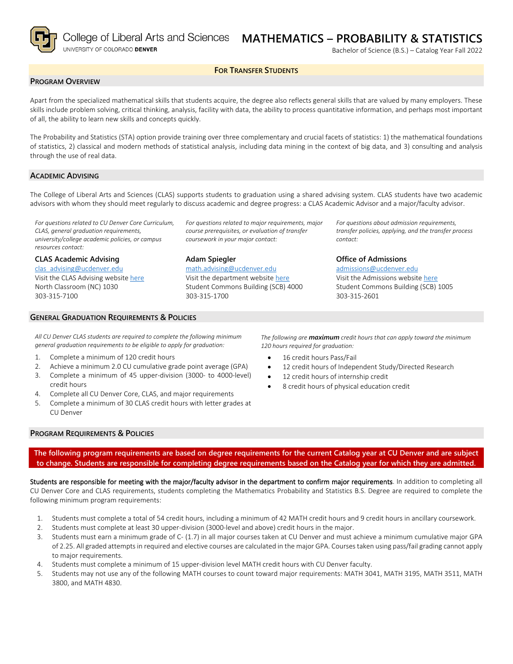

College of Liberal Arts and Sciences UNIVERSITY OF COLORADO DENVER

**MATHEMATICS – PROBABILITY & STATISTICS**

Bachelor of Science (B.S.) – Catalog Year Fall 2022

## **FOR TRANSFER STUDENTS**

# **PROGRAM OVERVIEW**

Apart from the specialized mathematical skills that students acquire, the degree also reflects general skills that are valued by many employers. These skills include problem solving, critical thinking, analysis, facility with data, the ability to process quantitative information, and perhaps most important of all, the ability to learn new skills and concepts quickly.

The Probability and Statistics (STA) option provide training over three complementary and crucial facets of statistics: 1) the mathematical foundations of statistics, 2) classical and modern methods of statistical analysis, including data mining in the context of big data, and 3) consulting and analysis through the use of real data.

# **ACADEMIC ADVISING**

The College of Liberal Arts and Sciences (CLAS) supports students to graduation using a shared advising system. CLAS students have two academic advisors with whom they should meet regularly to discuss academic and degree progress: a CLAS Academic Advisor and a major/faculty advisor.

*For questions related to CU Denver Core Curriculum, CLAS, general graduation requirements, university/college academic policies, or campus resources contact:*

**CLAS Academic Advising**

[clas\\_advising@ucdenver.edu](mailto:clas_advising@ucdenver.edu) Visit the CLAS Advising websit[e here](https://clas.ucdenver.edu/advising/) North Classroom (NC) 1030 303-315-7100

*For questions related to major requirements, major course prerequisites, or evaluation of transfer coursework in your major contact:*

## **Adam Spiegler**

[math.advising@ucdenver.edu](mailto:math.advising@ucdenver.edu) Visit the department website [here](https://clas.ucdenver.edu/mathematical-and-statistical-sciences/) Student Commons Building (SCB) 4000 303-315-1700

*For questions about admission requirements, transfer policies, applying, and the transfer process contact:*

#### **Office of Admissions**

[admissions@ucdenver.edu](mailto:admissions@ucdenver.edu) Visit the Admissions website [here](http://www.ucdenver.edu/admissions/Pages/index.aspx) Student Commons Building (SCB) 1005 303-315-2601

### **GENERAL GRADUATION REQUIREMENTS & POLICIES**

*All CU Denver CLAS students are required to complete the following minimum general graduation requirements to be eligible to apply for graduation:*

- 1. Complete a minimum of 120 credit hours
- 2. Achieve a minimum 2.0 CU cumulative grade point average (GPA)
- 3. Complete a minimum of 45 upper-division (3000- to 4000-level) credit hours
- 4. Complete all CU Denver Core, CLAS, and major requirements
- 5. Complete a minimum of 30 CLAS credit hours with letter grades at CU Denver

*The following are maximum credit hours that can apply toward the minimum 120 hours required for graduation:*

- 16 credit hours Pass/Fail
- 12 credit hours of Independent Study/Directed Research
- 12 credit hours of internship credit
- 8 credit hours of physical education credit

# **PROGRAM REQUIREMENTS & POLICIES**

**The following program requirements are based on degree requirements for the current Catalog year at CU Denver and are subject to change. Students are responsible for completing degree requirements based on the Catalog year for which they are admitted.**

Students are responsible for meeting with the major/faculty advisor in the department to confirm major requirements. In addition to completing all CU Denver Core and CLAS requirements, students completing the Mathematics Probability and Statistics B.S. Degree are required to complete the following minimum program requirements:

- 1. Students must complete a total of 54 credit hours, including a minimum of 42 MATH credit hours and 9 credit hours in ancillary coursework.
- 2. Students must complete at least 30 upper-division (3000-level and above) credit hours in the major.
- 3. Students must earn a minimum grade of C- (1.7) in all major courses taken at CU Denver and must achieve a minimum cumulative major GPA of 2.25. All graded attempts in required and elective courses are calculated in the major GPA. Courses taken using pass/fail grading cannot apply to major requirements.
- 4. Students must complete a minimum of 15 upper-division level MATH credit hours with CU Denver faculty.
- 5. Students may not use any of the following MATH courses to count toward major requirements: MATH 3041, MATH 3195, MATH 3511, MATH 3800, and MATH 4830.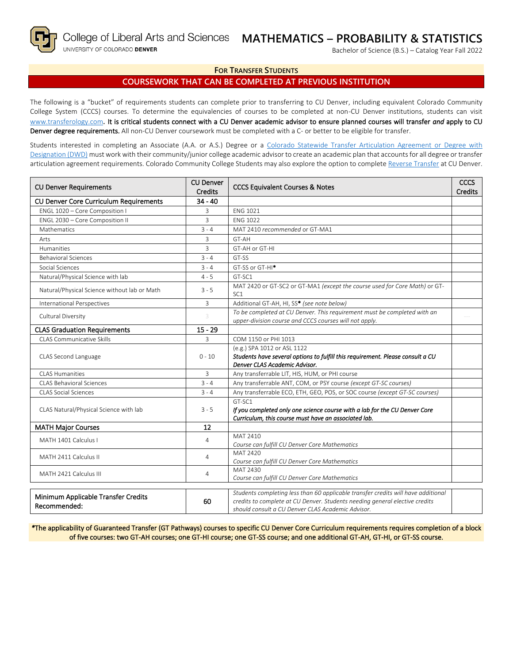

**MATHEMATICS – PROBABILITY & STATISTICS**

Bachelor of Science (B.S.) – Catalog Year Fall 2022

## **FOR TRANSFER STUDENTS**

## **COURSEWORK THAT CAN BE COMPLETED AT PREVIOUS INSTITUTION**

The following is a "bucket" of requirements students can complete prior to transferring to CU Denver, including equivalent Colorado Community College System (CCCS) courses. To determine the equivalencies of courses to be completed at non-CU Denver institutions, students can visit [www.transferology.com](http://www.transferology.com/)**.** It is critical students connect with a CU Denver academic advisor to ensure planned courses will transfer *and* apply to CU Denver degree requirements. All non-CU Denver coursework must be completed with a C- or better to be eligible for transfer.

Students interested in completing an Associate (A.A. or A.S.) Degree or a Colorado Statewide Transfer Articulation Agreement or Degree with [Designation \(DWD\)](https://highered.colorado.gov/transfer-degrees) must work with their community/junior college academic advisor to create an academic plan that accounts for all degree or transfer articulation agreement requirements. Colorado Community College Students may also explore the option to complet[e Reverse Transfer](https://highered.colorado.gov/students/attending-college/colorado-reverse-transfer) at CU Denver.

| <b>CU Denver Requirements</b>                                           | <b>CU Denver</b>            | <b>CCCS Equivalent Courses &amp; Notes</b>                                        |  |
|-------------------------------------------------------------------------|-----------------------------|-----------------------------------------------------------------------------------|--|
| <b>CU Denver Core Curriculum Requirements</b>                           | <b>Credits</b><br>$34 - 40$ |                                                                                   |  |
| ENGL 1020 - Core Composition I                                          | 3                           | <b>ENG 1021</b>                                                                   |  |
| ENGL 2030 - Core Composition II                                         | 3                           | <b>FNG 1022</b>                                                                   |  |
| Mathematics                                                             | $3 - 4$                     | MAT 2410 recommended or GT-MA1                                                    |  |
| Arts                                                                    | 3                           | GT-AH                                                                             |  |
| <b>Humanities</b>                                                       | $\overline{3}$              | GT-AH or GT-HI                                                                    |  |
| <b>Behavioral Sciences</b>                                              | $3 - 4$                     | GT-SS                                                                             |  |
| Social Sciences                                                         | $3 - 4$                     | GT-SS or GT-HI <sup>*</sup>                                                       |  |
| Natural/Physical Science with lab                                       | $4 - 5$                     | GT-SC1                                                                            |  |
|                                                                         |                             | MAT 2420 or GT-SC2 or GT-MA1 (except the course used for Core Math) or GT-        |  |
| Natural/Physical Science without lab or Math                            | $3 - 5$                     | SC <sub>1</sub>                                                                   |  |
| International Perspectives                                              | 3                           | Additional GT-AH, HI, SS* (see note below)                                        |  |
| Cultural Diversity                                                      | 3                           | To be completed at CU Denver. This requirement must be completed with an          |  |
|                                                                         | $15 - 29$                   | upper-division course and CCCS courses will not apply.                            |  |
| <b>CLAS Graduation Requirements</b><br><b>CLAS Communicative Skills</b> | $\overline{3}$              | COM 1150 or PHI 1013                                                              |  |
|                                                                         |                             | (e.g.) SPA 1012 or ASL 1122                                                       |  |
| CLAS Second Language                                                    | $0 - 10$                    | Students have several options to fulfill this requirement. Please consult a CU    |  |
|                                                                         |                             | Denver CLAS Academic Advisor.                                                     |  |
| <b>CLAS Humanities</b>                                                  | 3                           | Any transferrable LIT, HIS, HUM, or PHI course                                    |  |
| CLAS Behavioral Sciences                                                | $3 - 4$                     | Any transferrable ANT, COM, or PSY course (except GT-SC courses)                  |  |
| <b>CLAS Social Sciences</b>                                             | $3 - 4$                     | Any transferrable ECO, ETH, GEO, POS, or SOC course (except GT-SC courses)        |  |
|                                                                         |                             | GT-SC1                                                                            |  |
| CLAS Natural/Physical Science with lab                                  | $3 - 5$                     | If you completed only one science course with a lab for the CU Denver Core        |  |
|                                                                         |                             | Curriculum, this course must have an associated lab.                              |  |
| <b>MATH Major Courses</b>                                               | 12                          |                                                                                   |  |
| MATH 1401 Calculus I                                                    | $\overline{4}$              | MAT 2410                                                                          |  |
|                                                                         |                             | Course can fulfill CU Denver Core Mathematics                                     |  |
| MATH 2411 Calculus II                                                   | 4                           | MAT 2420                                                                          |  |
|                                                                         |                             | Course can fulfill CU Denver Core Mathematics<br>MAT 2430                         |  |
| MATH 2421 Calculus III                                                  | $\overline{4}$              | Course can fulfill CU Denver Core Mathematics                                     |  |
|                                                                         |                             |                                                                                   |  |
| Minimum Applicable Transfer Credits                                     |                             | Students completing less than 60 applicable transfer credits will have additional |  |
| Recommended:                                                            | 60                          | credits to complete at CU Denver. Students needing general elective credits       |  |
|                                                                         |                             | should consult a CU Denver CLAS Academic Advisor.                                 |  |

*\**The applicability of Guaranteed Transfer (GT Pathways) courses to specific CU Denver Core Curriculum requirements requires completion of a block of five courses: two GT-AH courses; one GT-HI course; one GT-SS course; and one additional GT-AH, GT-HI, or GT-SS course.